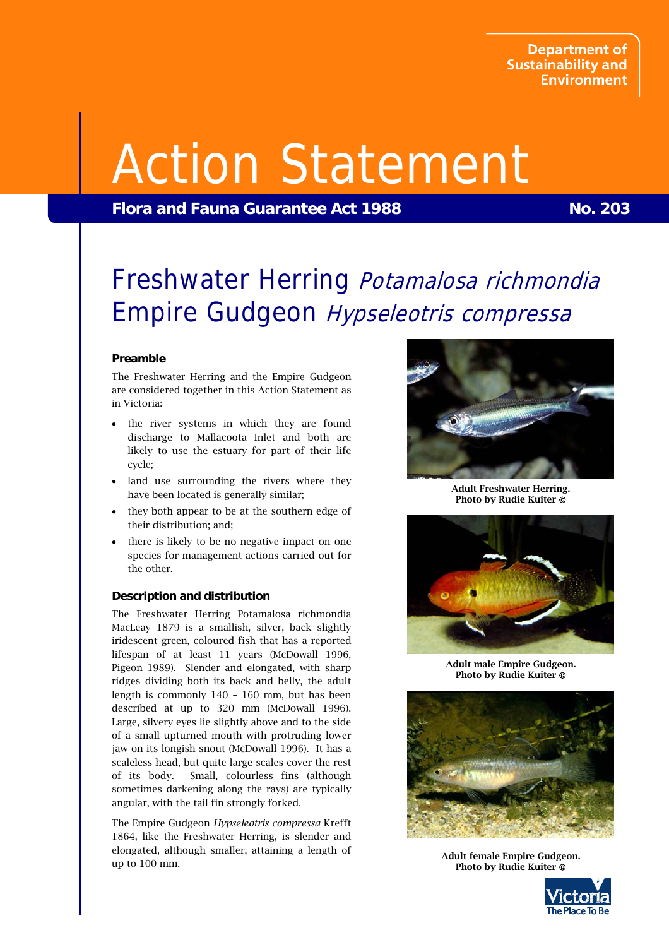# Action Statement

**Flora and Fauna Guarantee Act 1988** No. 203

# Freshwater Herring Potamalosa richmondia Empire Gudgeon Hypseleotris compressa

# **Preamble**

The Freshwater Herring and the Empire Gudgeon are considered together in this Action Statement as in Victoria:

- the river systems in which they are found discharge to Mallacoota Inlet and both are likely to use the estuary for part of their life cycle;
- land use surrounding the rivers where they have been located is generally similar;
- they both appear to be at the southern edge of their distribution; and;
- there is likely to be no negative impact on one species for management actions carried out for the other.

# **Description and distribution**

The Freshwater Herring Potamalosa richmondia MacLeay 1879 is a smallish, silver, back slightly iridescent green, coloured fish that has a reported lifespan of at least 11 years (McDowall 1996, Pigeon 1989). Slender and elongated, with sharp ridges dividing both its back and belly, the adult length is commonly 140 – 160 mm, but has been described at up to 320 mm (McDowall 1996). Large, silvery eyes lie slightly above and to the side of a small upturned mouth with protruding lower jaw on its longish snout (McDowall 1996). It has a scaleless head, but quite large scales cover the rest of its body. Small, colourless fins (although sometimes darkening along the rays) are typically angular, with the tail fin strongly forked.

The Empire Gudgeon *Hypseleotris compressa* Krefft 1864, like the Freshwater Herring, is slender and elongated, although smaller, attaining a length of up to 100 mm.



Adult Freshwater Herring. Photo by Rudie Kuiter ©



Adult male Empire Gudgeon. Photo by Rudie Kuiter ©



Adult female Empire Gudgeon. Photo by Rudie Kuiter ©

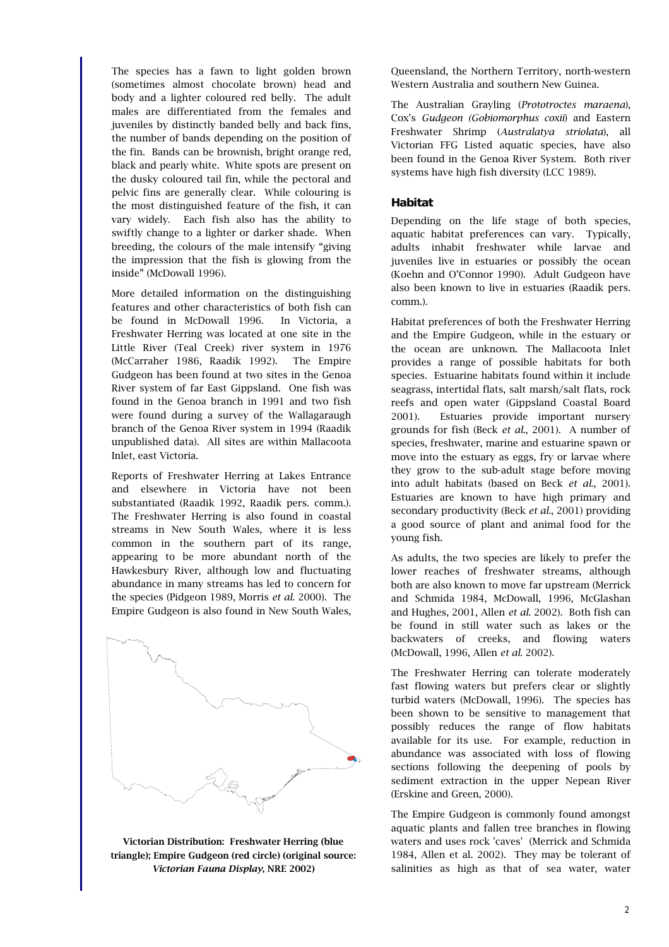The species has a fawn to light golden brown (sometimes almost chocolate brown) head and body and a lighter coloured red belly. The adult males are differentiated from the females and juveniles by distinctly banded belly and back fins, the number of bands depending on the position of the fin. Bands can be brownish, bright orange red, black and pearly white. White spots are present on the dusky coloured tail fin, while the pectoral and pelvic fins are generally clear. While colouring is the most distinguished feature of the fish, it can vary widely. Each fish also has the ability to swiftly change to a lighter or darker shade. When breeding, the colours of the male intensify "giving the impression that the fish is glowing from the inside" (McDowall 1996).

More detailed information on the distinguishing features and other characteristics of both fish can be found in McDowall 1996. In Victoria, a Freshwater Herring was located at one site in the Little River (Teal Creek) river system in 1976 (McCarraher 1986, Raadik 1992). The Empire Gudgeon has been found at two sites in the Genoa River system of far East Gippsland. One fish was found in the Genoa branch in 1991 and two fish were found during a survey of the Wallagaraugh branch of the Genoa River system in 1994 (Raadik unpublished data). All sites are within Mallacoota Inlet, east Victoria.

Reports of Freshwater Herring at Lakes Entrance and elsewhere in Victoria have not been substantiated (Raadik 1992, Raadik pers. comm.). The Freshwater Herring is also found in coastal streams in New South Wales, where it is less common in the southern part of its range, appearing to be more abundant north of the Hawkesbury River, although low and fluctuating abundance in many streams has led to concern for the species (Pidgeon 1989, Morris *et al*. 2000). The Empire Gudgeon is also found in New South Wales,



Victorian Distribution: Freshwater Herring (blue triangle); Empire Gudgeon (red circle) (original source: *Victorian Fauna Display*, NRE 2002)

Queensland, the Northern Territory, north-western Western Australia and southern New Guinea.

The Australian Grayling (*Prototroctes maraena*), Cox's *Gudgeon (Gobiomorphus coxii*) and Eastern Freshwater Shrimp (*Australatya striolata*), all Victorian FFG Listed aquatic species, have also been found in the Genoa River System. Both river systems have high fish diversity (LCC 1989).

# **Habitat**

Depending on the life stage of both species, aquatic habitat preferences can vary. Typically, adults inhabit freshwater while larvae and juveniles live in estuaries or possibly the ocean (Koehn and O'Connor 1990). Adult Gudgeon have also been known to live in estuaries (Raadik pers. comm.).

Habitat preferences of both the Freshwater Herring and the Empire Gudgeon, while in the estuary or the ocean are unknown. The Mallacoota Inlet provides a range of possible habitats for both species. Estuarine habitats found within it include seagrass, intertidal flats, salt marsh/salt flats, rock reefs and open water (Gippsland Coastal Board 2001). Estuaries provide important nursery grounds for fish (Beck *et al.*, 2001). A number of species, freshwater, marine and estuarine spawn or move into the estuary as eggs, fry or larvae where they grow to the sub-adult stage before moving into adult habitats (based on Beck *et al.*, 2001). Estuaries are known to have high primary and secondary productivity (Beck *et al.*, 2001) providing a good source of plant and animal food for the young fish.

As adults, the two species are likely to prefer the lower reaches of freshwater streams, although both are also known to move far upstream (Merrick and Schmida 1984, McDowall, 1996, McGlashan and Hughes, 2001, Allen *et al.* 2002). Both fish can be found in still water such as lakes or the backwaters of creeks, and flowing waters (McDowall, 1996, Allen *et al*. 2002).

The Freshwater Herring can tolerate moderately fast flowing waters but prefers clear or slightly turbid waters (McDowall, 1996). The species has been shown to be sensitive to management that possibly reduces the range of flow habitats available for its use. For example, reduction in abundance was associated with loss of flowing sections following the deepening of pools by sediment extraction in the upper Nepean River (Erskine and Green, 2000).

The Empire Gudgeon is commonly found amongst aquatic plants and fallen tree branches in flowing waters and uses rock 'caves' (Merrick and Schmida 1984, Allen et al. 2002). They may be tolerant of salinities as high as that of sea water, water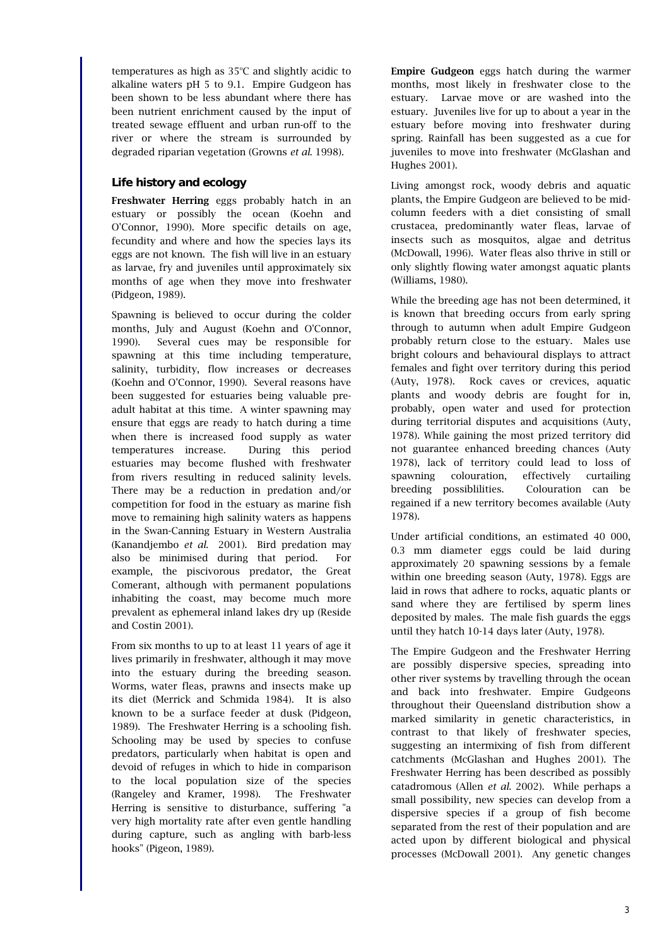$temperatures$  as high as  $35^{\circ}$ C and slightly acidic to alkaline waters pH 5 to 9.1. Empire Gudgeon has been shown to be less abundant where there has been nutrient enrichment caused by the input of treated sewage effluent and urban run-off to the river or where the stream is surrounded by degraded riparian vegetation (Growns *et al*. 1998).

# **Life history and ecology**

Freshwater Herring eggs probably hatch in an estuary or possibly the ocean (Koehn and O'Connor, 1990). More specific details on age, fecundity and where and how the species lays its eggs are not known. The fish will live in an estuary as larvae, fry and juveniles until approximately six months of age when they move into freshwater (Pidgeon, 1989).

Spawning is believed to occur during the colder months, July and August (Koehn and O'Connor, 1990). Several cues may be responsible for spawning at this time including temperature, salinity, turbidity, flow increases or decreases (Koehn and O'Connor, 1990). Several reasons have been suggested for estuaries being valuable preadult habitat at this time. A winter spawning may ensure that eggs are ready to hatch during a time when there is increased food supply as water temperatures increase. During this period estuaries may become flushed with freshwater from rivers resulting in reduced salinity levels. There may be a reduction in predation and/or competition for food in the estuary as marine fish move to remaining high salinity waters as happens in the Swan-Canning Estuary in Western Australia (Kanandjembo *et al.* 2001). Bird predation may also be minimised during that period. For example, the piscivorous predator, the Great Comerant, although with permanent populations inhabiting the coast, may become much more prevalent as ephemeral inland lakes dry up (Reside and Costin 2001).

From six months to up to at least 11 years of age it lives primarily in freshwater, although it may move into the estuary during the breeding season. Worms, water fleas, prawns and insects make up its diet (Merrick and Schmida 1984). It is also known to be a surface feeder at dusk (Pidgeon, 1989). The Freshwater Herring is a schooling fish. Schooling may be used by species to confuse predators, particularly when habitat is open and devoid of refuges in which to hide in comparison to the local population size of the species (Rangeley and Kramer, 1998). The Freshwater Herring is sensitive to disturbance, suffering "a very high mortality rate after even gentle handling during capture, such as angling with barb-less hooks" (Pigeon, 1989).

Empire Gudgeon eggs hatch during the warmer months, most likely in freshwater close to the estuary. Larvae move or are washed into the estuary. Juveniles live for up to about a year in the estuary before moving into freshwater during spring. Rainfall has been suggested as a cue for juveniles to move into freshwater (McGlashan and Hughes 2001).

Living amongst rock, woody debris and aquatic plants, the Empire Gudgeon are believed to be midcolumn feeders with a diet consisting of small crustacea, predominantly water fleas, larvae of insects such as mosquitos, algae and detritus (McDowall, 1996). Water fleas also thrive in still or only slightly flowing water amongst aquatic plants (Williams, 1980).

While the breeding age has not been determined, it is known that breeding occurs from early spring through to autumn when adult Empire Gudgeon probably return close to the estuary. Males use bright colours and behavioural displays to attract females and fight over territory during this period (Auty, 1978). Rock caves or crevices, aquatic plants and woody debris are fought for in, probably, open water and used for protection during territorial disputes and acquisitions (Auty, 1978). While gaining the most prized territory did not guarantee enhanced breeding chances (Auty 1978), lack of territory could lead to loss of spawning colouration, effectively curtailing breeding possiblilities. Colouration can be regained if a new territory becomes available (Auty 1978).

Under artificial conditions, an estimated 40 000, 0.3 mm diameter eggs could be laid during approximately 20 spawning sessions by a female within one breeding season (Auty, 1978). Eggs are laid in rows that adhere to rocks, aquatic plants or sand where they are fertilised by sperm lines deposited by males. The male fish guards the eggs until they hatch 10-14 days later (Auty, 1978).

The Empire Gudgeon and the Freshwater Herring are possibly dispersive species, spreading into other river systems by travelling through the ocean and back into freshwater. Empire Gudgeons throughout their Queensland distribution show a marked similarity in genetic characteristics, in contrast to that likely of freshwater species, suggesting an intermixing of fish from different catchments (McGlashan and Hughes 2001). The Freshwater Herring has been described as possibly catadromous (Allen *et al*. 2002). While perhaps a small possibility, new species can develop from a dispersive species if a group of fish become separated from the rest of their population and are acted upon by different biological and physical processes (McDowall 2001). Any genetic changes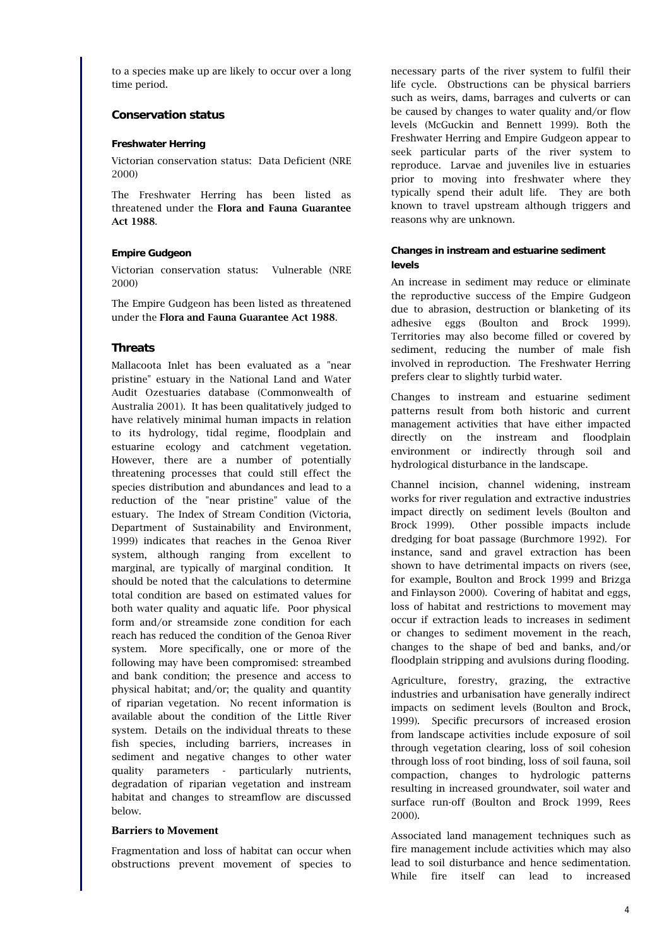to a species make up are likely to occur over a long time period.

# **Conservation status**

### **Freshwater Herring**

Victorian conservation status: Data Deficient (NRE 2000)

The Freshwater Herring has been listed as threatened under the Flora and Fauna Guarantee Act 1988.

# **Empire Gudgeon**

Victorian conservation status: Vulnerable (NRE 2000)

The Empire Gudgeon has been listed as threatened under the Flora and Fauna Guarantee Act 1988.

# **Threats**

Mallacoota Inlet has been evaluated as a "near pristine" estuary in the National Land and Water Audit Ozestuaries database (Commonwealth of Australia 2001). It has been qualitatively judged to have relatively minimal human impacts in relation to its hydrology, tidal regime, floodplain and estuarine ecology and catchment vegetation. However, there are a number of potentially threatening processes that could still effect the species distribution and abundances and lead to a reduction of the "near pristine" value of the estuary. The Index of Stream Condition (Victoria, Department of Sustainability and Environment, 1999) indicates that reaches in the Genoa River system, although ranging from excellent to marginal, are typically of marginal condition. It should be noted that the calculations to determine total condition are based on estimated values for both water quality and aquatic life. Poor physical form and/or streamside zone condition for each reach has reduced the condition of the Genoa River system. More specifically, one or more of the following may have been compromised: streambed and bank condition; the presence and access to physical habitat; and/or; the quality and quantity of riparian vegetation. No recent information is available about the condition of the Little River system. Details on the individual threats to these fish species, including barriers, increases in sediment and negative changes to other water quality parameters - particularly nutrients, degradation of riparian vegetation and instream habitat and changes to streamflow are discussed below.

## **Barriers to Movement**

Fragmentation and loss of habitat can occur when obstructions prevent movement of species to necessary parts of the river system to fulfil their life cycle. Obstructions can be physical barriers such as weirs, dams, barrages and culverts or can be caused by changes to water quality and/or flow levels (McGuckin and Bennett 1999). Both the Freshwater Herring and Empire Gudgeon appear to seek particular parts of the river system to reproduce. Larvae and juveniles live in estuaries prior to moving into freshwater where they typically spend their adult life. They are both known to travel upstream although triggers and reasons why are unknown.

# **Changes in instream and estuarine sediment levels**

An increase in sediment may reduce or eliminate the reproductive success of the Empire Gudgeon due to abrasion, destruction or blanketing of its adhesive eggs (Boulton and Brock 1999). Territories may also become filled or covered by sediment, reducing the number of male fish involved in reproduction. The Freshwater Herring prefers clear to slightly turbid water.

Changes to instream and estuarine sediment patterns result from both historic and current management activities that have either impacted directly on the instream and floodplain environment or indirectly through soil and hydrological disturbance in the landscape.

Channel incision, channel widening, instream works for river regulation and extractive industries impact directly on sediment levels (Boulton and Brock 1999). Other possible impacts include dredging for boat passage (Burchmore 1992). For instance, sand and gravel extraction has been shown to have detrimental impacts on rivers (see, for example, Boulton and Brock 1999 and Brizga and Finlayson 2000). Covering of habitat and eggs, loss of habitat and restrictions to movement may occur if extraction leads to increases in sediment or changes to sediment movement in the reach, changes to the shape of bed and banks, and/or floodplain stripping and avulsions during flooding.

Agriculture, forestry, grazing, the extractive industries and urbanisation have generally indirect impacts on sediment levels (Boulton and Brock, 1999). Specific precursors of increased erosion from landscape activities include exposure of soil through vegetation clearing, loss of soil cohesion through loss of root binding, loss of soil fauna, soil compaction, changes to hydrologic patterns resulting in increased groundwater, soil water and surface run-off (Boulton and Brock 1999, Rees 2000).

Associated land management techniques such as fire management include activities which may also lead to soil disturbance and hence sedimentation. While fire itself can lead to increased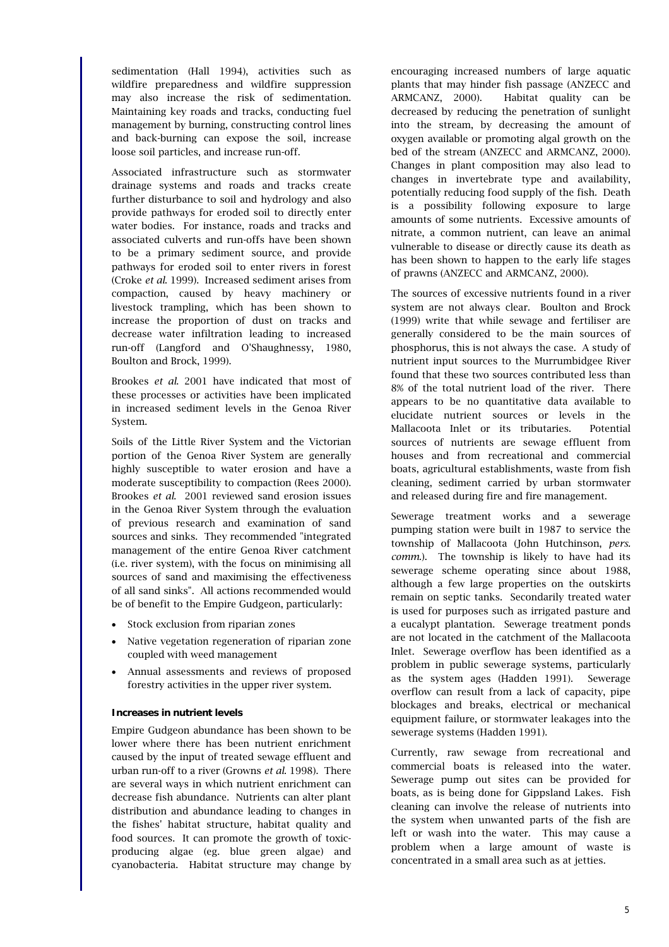sedimentation (Hall 1994), activities such as wildfire preparedness and wildfire suppression may also increase the risk of sedimentation. Maintaining key roads and tracks, conducting fuel management by burning, constructing control lines and back-burning can expose the soil, increase loose soil particles, and increase run-off.

Associated infrastructure such as stormwater drainage systems and roads and tracks create further disturbance to soil and hydrology and also provide pathways for eroded soil to directly enter water bodies. For instance, roads and tracks and associated culverts and run-offs have been shown to be a primary sediment source, and provide pathways for eroded soil to enter rivers in forest (Croke *et al*. 1999). Increased sediment arises from compaction, caused by heavy machinery or livestock trampling, which has been shown to increase the proportion of dust on tracks and decrease water infiltration leading to increased run-off (Langford and O'Shaughnessy, 1980, Boulton and Brock, 1999).

Brookes *et al*. 2001 have indicated that most of these processes or activities have been implicated in increased sediment levels in the Genoa River System.

Soils of the Little River System and the Victorian portion of the Genoa River System are generally highly susceptible to water erosion and have a moderate susceptibility to compaction (Rees 2000). Brookes *et al*. 2001 reviewed sand erosion issues in the Genoa River System through the evaluation of previous research and examination of sand sources and sinks. They recommended "integrated management of the entire Genoa River catchment (i.e. river system), with the focus on minimising all sources of sand and maximising the effectiveness of all sand sinks". All actions recommended would be of benefit to the Empire Gudgeon, particularly:

- Stock exclusion from riparian zones
- Native vegetation regeneration of riparian zone coupled with weed management
- Annual assessments and reviews of proposed forestry activities in the upper river system.

#### **Increases in nutrient levels**

Empire Gudgeon abundance has been shown to be lower where there has been nutrient enrichment caused by the input of treated sewage effluent and urban run-off to a river (Growns *et al*. 1998). There are several ways in which nutrient enrichment can decrease fish abundance. Nutrients can alter plant distribution and abundance leading to changes in the fishes' habitat structure, habitat quality and food sources. It can promote the growth of toxicproducing algae (eg. blue green algae) and cyanobacteria. Habitat structure may change by

encouraging increased numbers of large aquatic plants that may hinder fish passage (ANZECC and ARMCANZ, 2000). Habitat quality can be decreased by reducing the penetration of sunlight into the stream, by decreasing the amount of oxygen available or promoting algal growth on the bed of the stream (ANZECC and ARMCANZ, 2000). Changes in plant composition may also lead to changes in invertebrate type and availability, potentially reducing food supply of the fish. Death is a possibility following exposure to large amounts of some nutrients. Excessive amounts of nitrate, a common nutrient, can leave an animal vulnerable to disease or directly cause its death as has been shown to happen to the early life stages of prawns (ANZECC and ARMCANZ, 2000).

The sources of excessive nutrients found in a river system are not always clear. Boulton and Brock (1999) write that while sewage and fertiliser are generally considered to be the main sources of phosphorus, this is not always the case. A study of nutrient input sources to the Murrumbidgee River found that these two sources contributed less than 8% of the total nutrient load of the river. There appears to be no quantitative data available to elucidate nutrient sources or levels in the Mallacoota Inlet or its tributaries. Potential sources of nutrients are sewage effluent from houses and from recreational and commercial boats, agricultural establishments, waste from fish cleaning, sediment carried by urban stormwater and released during fire and fire management.

Sewerage treatment works and a sewerage pumping station were built in 1987 to service the township of Mallacoota (John Hutchinson, *pers. comm.*). The township is likely to have had its sewerage scheme operating since about 1988, although a few large properties on the outskirts remain on septic tanks. Secondarily treated water is used for purposes such as irrigated pasture and a eucalypt plantation. Sewerage treatment ponds are not located in the catchment of the Mallacoota Inlet. Sewerage overflow has been identified as a problem in public sewerage systems, particularly as the system ages (Hadden 1991). Sewerage overflow can result from a lack of capacity, pipe blockages and breaks, electrical or mechanical equipment failure, or stormwater leakages into the sewerage systems (Hadden 1991).

Currently, raw sewage from recreational and commercial boats is released into the water. Sewerage pump out sites can be provided for boats, as is being done for Gippsland Lakes. Fish cleaning can involve the release of nutrients into the system when unwanted parts of the fish are left or wash into the water. This may cause a problem when a large amount of waste is concentrated in a small area such as at jetties.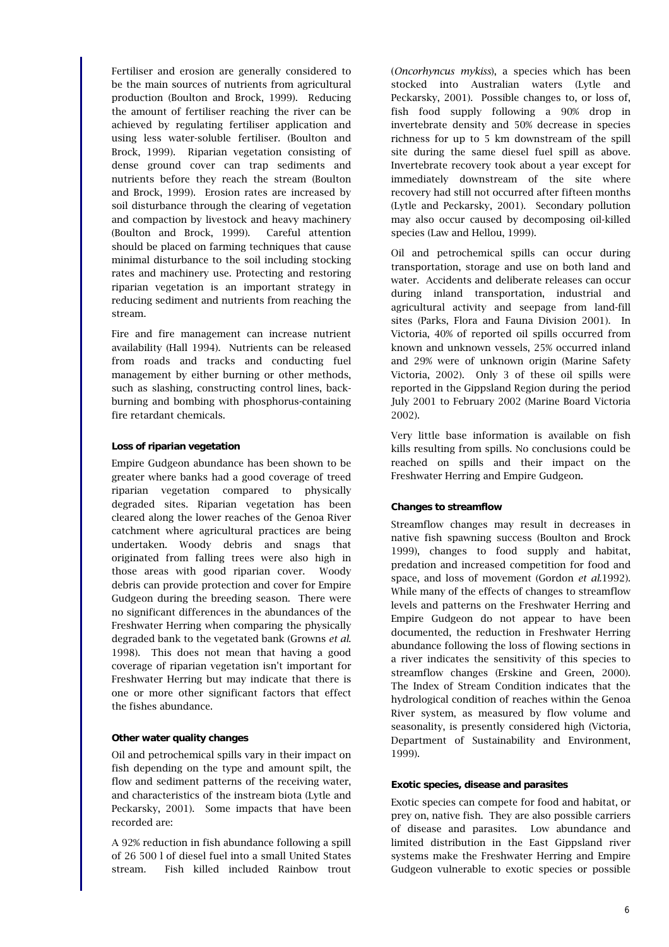Fertiliser and erosion are generally considered to be the main sources of nutrients from agricultural production (Boulton and Brock, 1999). Reducing the amount of fertiliser reaching the river can be achieved by regulating fertiliser application and using less water-soluble fertiliser. (Boulton and Brock, 1999). Riparian vegetation consisting of dense ground cover can trap sediments and nutrients before they reach the stream (Boulton and Brock, 1999). Erosion rates are increased by soil disturbance through the clearing of vegetation and compaction by livestock and heavy machinery (Boulton and Brock, 1999). Careful attention should be placed on farming techniques that cause minimal disturbance to the soil including stocking rates and machinery use. Protecting and restoring riparian vegetation is an important strategy in reducing sediment and nutrients from reaching the stream.

Fire and fire management can increase nutrient availability (Hall 1994). Nutrients can be released from roads and tracks and conducting fuel management by either burning or other methods, such as slashing, constructing control lines, backburning and bombing with phosphorus-containing fire retardant chemicals.

#### **Loss of riparian vegetation**

Empire Gudgeon abundance has been shown to be greater where banks had a good coverage of treed riparian vegetation compared to physically degraded sites. Riparian vegetation has been cleared along the lower reaches of the Genoa River catchment where agricultural practices are being undertaken. Woody debris and snags that originated from falling trees were also high in those areas with good riparian cover. Woody debris can provide protection and cover for Empire Gudgeon during the breeding season. There were no significant differences in the abundances of the Freshwater Herring when comparing the physically degraded bank to the vegetated bank (Growns *et al*. 1998). This does not mean that having a good coverage of riparian vegetation isn't important for Freshwater Herring but may indicate that there is one or more other significant factors that effect the fishes abundance.

#### **Other water quality changes**

Oil and petrochemical spills vary in their impact on fish depending on the type and amount spilt, the flow and sediment patterns of the receiving water, and characteristics of the instream biota (Lytle and Peckarsky, 2001). Some impacts that have been recorded are:

A 92% reduction in fish abundance following a spill of 26 500 l of diesel fuel into a small United States stream. Fish killed included Rainbow trout

(*Oncorhyncus mykiss*), a species which has been stocked into Australian waters (Lytle and Peckarsky, 2001). Possible changes to, or loss of, fish food supply following a 90% drop in invertebrate density and 50% decrease in species richness for up to 5 km downstream of the spill site during the same diesel fuel spill as above. Invertebrate recovery took about a year except for immediately downstream of the site where recovery had still not occurred after fifteen months (Lytle and Peckarsky, 2001). Secondary pollution may also occur caused by decomposing oil-killed species (Law and Hellou, 1999).

Oil and petrochemical spills can occur during transportation, storage and use on both land and water. Accidents and deliberate releases can occur during inland transportation, industrial and agricultural activity and seepage from land-fill sites (Parks, Flora and Fauna Division 2001). In Victoria, 40% of reported oil spills occurred from known and unknown vessels, 25% occurred inland and 29% were of unknown origin (Marine Safety Victoria, 2002). Only 3 of these oil spills were reported in the Gippsland Region during the period July 2001 to February 2002 (Marine Board Victoria 2002).

Very little base information is available on fish kills resulting from spills. No conclusions could be reached on spills and their impact on the Freshwater Herring and Empire Gudgeon.

#### **Changes to streamflow**

Streamflow changes may result in decreases in native fish spawning success (Boulton and Brock 1999), changes to food supply and habitat, predation and increased competition for food and space, and loss of movement (Gordon *et al.*1992). While many of the effects of changes to streamflow levels and patterns on the Freshwater Herring and Empire Gudgeon do not appear to have been documented, the reduction in Freshwater Herring abundance following the loss of flowing sections in a river indicates the sensitivity of this species to streamflow changes (Erskine and Green, 2000). The Index of Stream Condition indicates that the hydrological condition of reaches within the Genoa River system, as measured by flow volume and seasonality, is presently considered high (Victoria, Department of Sustainability and Environment, 1999).

#### **Exotic species, disease and parasites**

Exotic species can compete for food and habitat, or prey on, native fish. They are also possible carriers of disease and parasites. Low abundance and limited distribution in the East Gippsland river systems make the Freshwater Herring and Empire Gudgeon vulnerable to exotic species or possible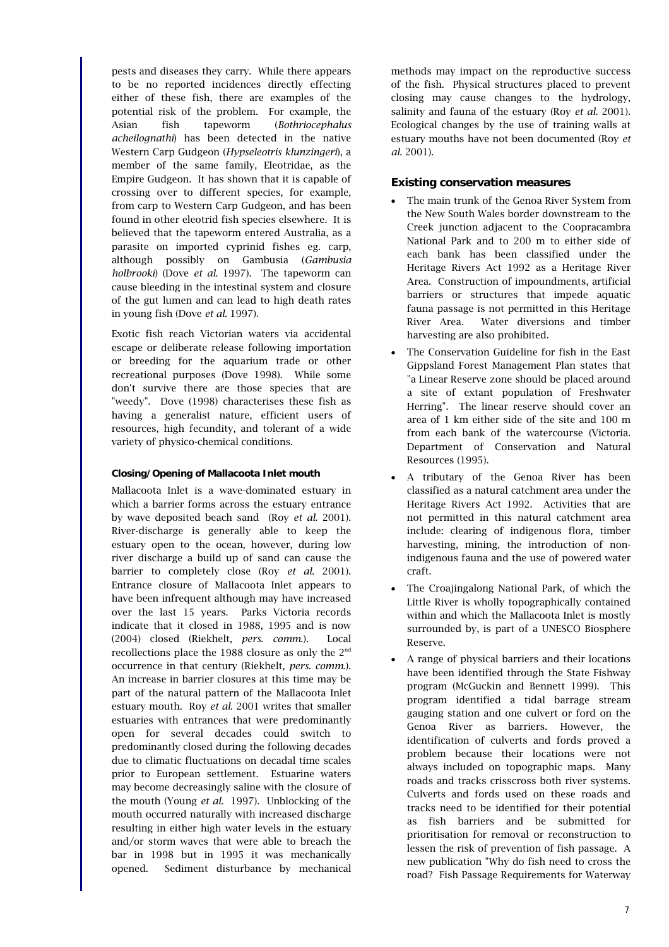pests and diseases they carry. While there appears to be no reported incidences directly effecting either of these fish, there are examples of the potential risk of the problem. For example, the Asian fish tapeworm (*Bothriocephalus acheilognathi*) has been detected in the native Western Carp Gudgeon (*Hypseleotris klunzingeri*), a member of the same family, Eleotridae, as the Empire Gudgeon. It has shown that it is capable of crossing over to different species, for example, from carp to Western Carp Gudgeon, and has been found in other eleotrid fish species elsewhere. It is believed that the tapeworm entered Australia, as a parasite on imported cyprinid fishes eg. carp, although possibly on Gambusia (*Gambusia holbrooki*) (Dove *et al*. 1997). The tapeworm can cause bleeding in the intestinal system and closure of the gut lumen and can lead to high death rates in young fish (Dove *et al*. 1997).

Exotic fish reach Victorian waters via accidental escape or deliberate release following importation or breeding for the aquarium trade or other recreational purposes (Dove 1998). While some don't survive there are those species that are "weedy". Dove (1998) characterises these fish as having a generalist nature, efficient users of resources, high fecundity, and tolerant of a wide variety of physico-chemical conditions.

# **Closing/Opening of Mallacoota Inlet mouth**

Mallacoota Inlet is a wave-dominated estuary in which a barrier forms across the estuary entrance by wave deposited beach sand (Roy *et al*. 2001). River-discharge is generally able to keep the estuary open to the ocean, however, during low river discharge a build up of sand can cause the barrier to completely close (Roy *et al.* 2001). Entrance closure of Mallacoota Inlet appears to have been infrequent although may have increased over the last 15 years. Parks Victoria records indicate that it closed in 1988, 1995 and is now (2004) closed (Riekhelt, *pers. comm.*). Local recollections place the 1988 closure as only the 2nd occurrence in that century (Riekhelt, *pers. comm*.). An increase in barrier closures at this time may be part of the natural pattern of the Mallacoota Inlet estuary mouth. Roy *et al.* 2001 writes that smaller estuaries with entrances that were predominantly open for several decades could switch to predominantly closed during the following decades due to climatic fluctuations on decadal time scales prior to European settlement. Estuarine waters may become decreasingly saline with the closure of the mouth (Young *et al*. 1997). Unblocking of the mouth occurred naturally with increased discharge resulting in either high water levels in the estuary and/or storm waves that were able to breach the bar in 1998 but in 1995 it was mechanically opened. Sediment disturbance by mechanical

methods may impact on the reproductive success of the fish. Physical structures placed to prevent closing may cause changes to the hydrology, salinity and fauna of the estuary (Roy *et al*. 2001). Ecological changes by the use of training walls at estuary mouths have not been documented (Roy *et al.* 2001).

# **Existing conservation measures**

- The main trunk of the Genoa River System from the New South Wales border downstream to the Creek junction adjacent to the Coopracambra National Park and to 200 m to either side of each bank has been classified under the Heritage Rivers Act 1992 as a Heritage River Area. Construction of impoundments, artificial barriers or structures that impede aquatic fauna passage is not permitted in this Heritage River Area. Water diversions and timber harvesting are also prohibited.
- The Conservation Guideline for fish in the East Gippsland Forest Management Plan states that "a Linear Reserve zone should be placed around a site of extant population of Freshwater Herring". The linear reserve should cover an area of 1 km either side of the site and 100 m from each bank of the watercourse (Victoria. Department of Conservation and Natural Resources (1995).
- A tributary of the Genoa River has been classified as a natural catchment area under the Heritage Rivers Act 1992. Activities that are not permitted in this natural catchment area include: clearing of indigenous flora, timber harvesting, mining, the introduction of nonindigenous fauna and the use of powered water craft.
- The Croajingalong National Park, of which the Little River is wholly topographically contained within and which the Mallacoota Inlet is mostly surrounded by, is part of a UNESCO Biosphere Reserve.
- A range of physical barriers and their locations have been identified through the State Fishway program (McGuckin and Bennett 1999). This program identified a tidal barrage stream gauging station and one culvert or ford on the Genoa River as barriers. However, the identification of culverts and fords proved a problem because their locations were not always included on topographic maps. Many roads and tracks crisscross both river systems. Culverts and fords used on these roads and tracks need to be identified for their potential as fish barriers and be submitted for prioritisation for removal or reconstruction to lessen the risk of prevention of fish passage. A new publication "Why do fish need to cross the road? Fish Passage Requirements for Waterway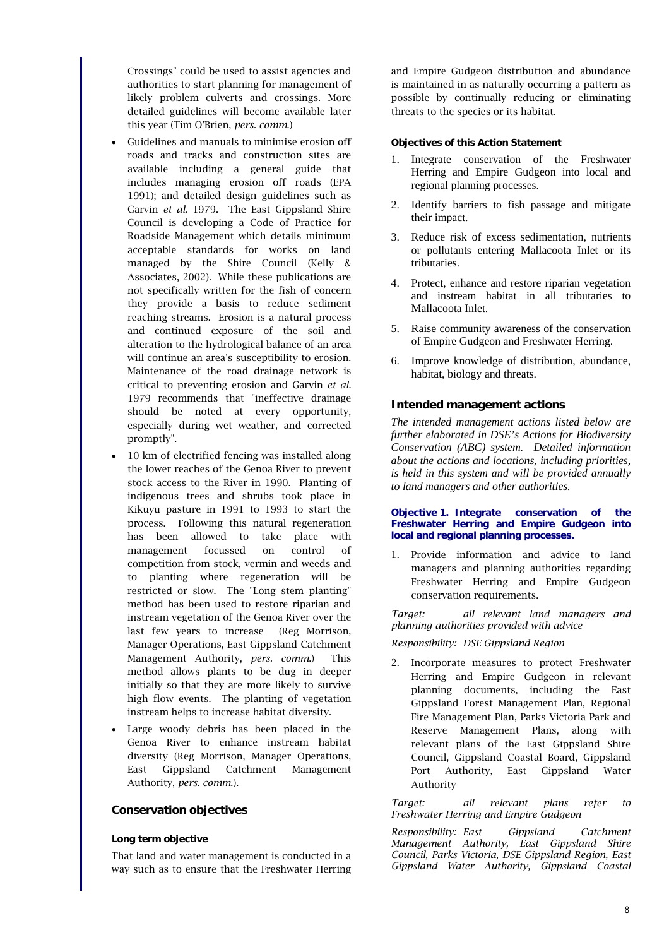Crossings" could be used to assist agencies and authorities to start planning for management of likely problem culverts and crossings. More detailed guidelines will become available later this year (Tim O'Brien, *pers. comm*.)

- Guidelines and manuals to minimise erosion off roads and tracks and construction sites are available including a general guide that includes managing erosion off roads (EPA 1991); and detailed design guidelines such as Garvin *et al*. 1979. The East Gippsland Shire Council is developing a Code of Practice for Roadside Management which details minimum acceptable standards for works on land managed by the Shire Council (Kelly & Associates, 2002). While these publications are not specifically written for the fish of concern they provide a basis to reduce sediment reaching streams. Erosion is a natural process and continued exposure of the soil and alteration to the hydrological balance of an area will continue an area's susceptibility to erosion. Maintenance of the road drainage network is critical to preventing erosion and Garvin *et al.* 1979 recommends that "ineffective drainage should be noted at every opportunity, especially during wet weather, and corrected promptly".
- 10 km of electrified fencing was installed along the lower reaches of the Genoa River to prevent stock access to the River in 1990. Planting of indigenous trees and shrubs took place in Kikuyu pasture in 1991 to 1993 to start the process. Following this natural regeneration has been allowed to take place with management focussed on control of competition from stock, vermin and weeds and to planting where regeneration will be restricted or slow. The "Long stem planting" method has been used to restore riparian and instream vegetation of the Genoa River over the last few years to increase (Reg Morrison, Manager Operations, East Gippsland Catchment Management Authority, *pers. comm*.) This method allows plants to be dug in deeper initially so that they are more likely to survive high flow events. The planting of vegetation instream helps to increase habitat diversity.
- Large woody debris has been placed in the Genoa River to enhance instream habitat diversity (Reg Morrison, Manager Operations, East Gippsland Catchment Management Authority, *pers. comm*.).

#### **Conservation objectives**

#### **Long term objective**

That land and water management is conducted in a way such as to ensure that the Freshwater Herring and Empire Gudgeon distribution and abundance is maintained in as naturally occurring a pattern as possible by continually reducing or eliminating threats to the species or its habitat.

### **Objectives of this Action Statement**

- 1. Integrate conservation of the Freshwater Herring and Empire Gudgeon into local and regional planning processes.
- 2. Identify barriers to fish passage and mitigate their impact.
- 3. Reduce risk of excess sedimentation, nutrients or pollutants entering Mallacoota Inlet or its tributaries.
- 4. Protect, enhance and restore riparian vegetation and instream habitat in all tributaries to Mallacoota Inlet.
- 5. Raise community awareness of the conservation of Empire Gudgeon and Freshwater Herring.
- 6. Improve knowledge of distribution, abundance, habitat, biology and threats.

### **Intended management actions**

*The intended management actions listed below are further elaborated in DSE's Actions for Biodiversity Conservation (ABC) system. Detailed information about the actions and locations, including priorities, is held in this system and will be provided annually to land managers and other authorities.*

#### **Objective 1. Integrate conservation of the Freshwater Herring and Empire Gudgeon into local and regional planning processes.**

1. Provide information and advice to land managers and planning authorities regarding Freshwater Herring and Empire Gudgeon conservation requirements.

*Target: all relevant land managers and planning authorities provided with advice*

#### *Responsibility: DSE Gippsland Region*

2. Incorporate measures to protect Freshwater Herring and Empire Gudgeon in relevant planning documents, including the East Gippsland Forest Management Plan, Regional Fire Management Plan, Parks Victoria Park and Reserve Management Plans, along with relevant plans of the East Gippsland Shire Council, Gippsland Coastal Board, Gippsland Port Authority, East Gippsland Water Authority

*Target: all relevant plans refer to Freshwater Herring and Empire Gudgeon*

*Responsibility: East Gippsland Catchment Management Authority, East Gippsland Shire Council, Parks Victoria, DSE Gippsland Region, East Gippsland Water Authority, Gippsland Coastal*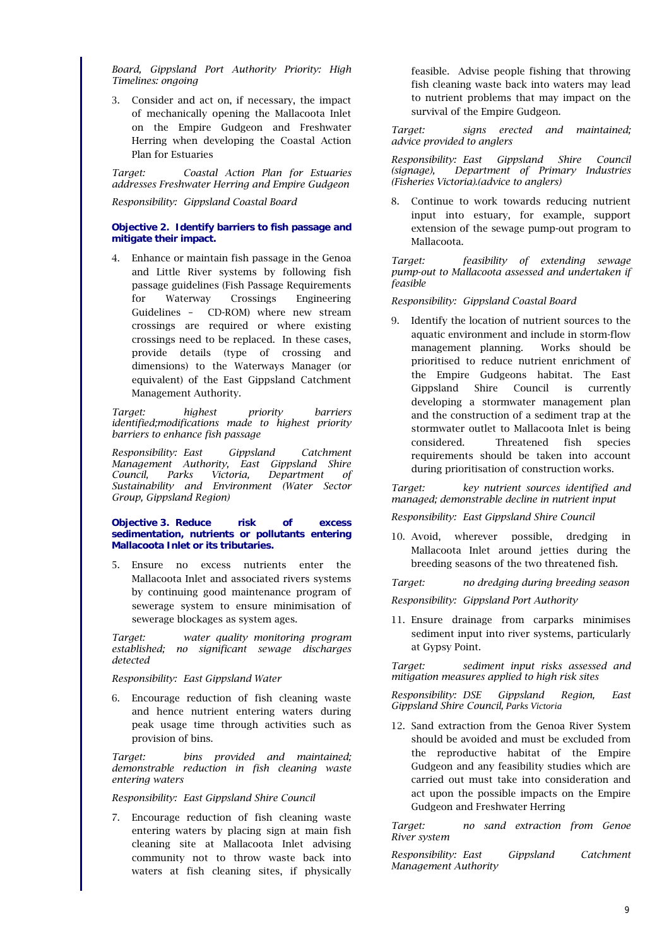*Board, Gippsland Port Authority Priority: High Timelines: ongoing*

3. Consider and act on, if necessary, the impact of mechanically opening the Mallacoota Inlet on the Empire Gudgeon and Freshwater Herring when developing the Coastal Action Plan for Estuaries

*Target: Coastal Action Plan for Estuaries addresses Freshwater Herring and Empire Gudgeon*

*Responsibility: Gippsland Coastal Board*

### **Objective 2. Identify barriers to fish passage and mitigate their impact.**

4. Enhance or maintain fish passage in the Genoa and Little River systems by following fish passage guidelines (Fish Passage Requirements for Waterway Crossings Engineering Guidelines – CD-ROM) where new stream crossings are required or where existing crossings need to be replaced. In these cases, provide details (type of crossing and dimensions) to the Waterways Manager (or equivalent) of the East Gippsland Catchment Management Authority.

*Target: highest priority barriers identified;modifications made to highest priority barriers to enhance fish passage*

*Responsibility: East Gippsland Catchment Management Authority, East Gippsland Shire Council, Parks Victoria, Department of Sustainability and Environment (Water Sector Group, Gippsland Region)*

#### **Objective 3. Reduce risk of excess sedimentation, nutrients or pollutants entering Mallacoota Inlet or its tributaries.**

5. Ensure no excess nutrients enter the Mallacoota Inlet and associated rivers systems by continuing good maintenance program of sewerage system to ensure minimisation of sewerage blockages as system ages.

*Target: water quality monitoring program established; no significant sewage discharges detected*

*Responsibility: East Gippsland Water*

6. Encourage reduction of fish cleaning waste and hence nutrient entering waters during peak usage time through activities such as provision of bins.

*Target: bins provided and maintained; demonstrable reduction in fish cleaning waste entering waters*

*Responsibility: East Gippsland Shire Council*

7. Encourage reduction of fish cleaning waste entering waters by placing sign at main fish cleaning site at Mallacoota Inlet advising community not to throw waste back into waters at fish cleaning sites, if physically

feasible. Advise people fishing that throwing fish cleaning waste back into waters may lead to nutrient problems that may impact on the survival of the Empire Gudgeon.

*Target: signs erected and maintained; advice provided to anglers*

*Responsibility: East Gippsland Shire Council (signage), Department of Primary Industries (Fisheries Victoria).(advice to anglers)*

Continue to work towards reducing nutrient input into estuary, for example, support extension of the sewage pump-out program to Mallacoota.

*Target: feasibility of extending sewage pump-out to Mallacoota assessed and undertaken if feasible*

*Responsibility: Gippsland Coastal Board*

9. Identify the location of nutrient sources to the aquatic environment and include in storm-flow management planning. Works should be prioritised to reduce nutrient enrichment of the Empire Gudgeons habitat. The East Gippsland Shire Council is currently developing a stormwater management plan and the construction of a sediment trap at the stormwater outlet to Mallacoota Inlet is being considered. Threatened fish species requirements should be taken into account during prioritisation of construction works.

*Target: key nutrient sources identified and managed; demonstrable decline in nutrient input*

*Responsibility: East Gippsland Shire Council*

10. Avoid, wherever possible, dredging in Mallacoota Inlet around jetties during the breeding seasons of the two threatened fish.

*Target: no dredging during breeding season*

*Responsibility: Gippsland Port Authority*

11. Ensure drainage from carparks minimises sediment input into river systems, particularly at Gypsy Point.

*Target: sediment input risks assessed and mitigation measures applied to high risk sites*

*Responsibility: DSE Gippsland Region, East Gippsland Shire Council, Parks Victoria*

12. Sand extraction from the Genoa River System should be avoided and must be excluded from the reproductive habitat of the Empire Gudgeon and any feasibility studies which are carried out must take into consideration and act upon the possible impacts on the Empire Gudgeon and Freshwater Herring

*Target: no sand extraction from Genoe River system*

*Responsibility: East Gippsland Catchment Management Authority*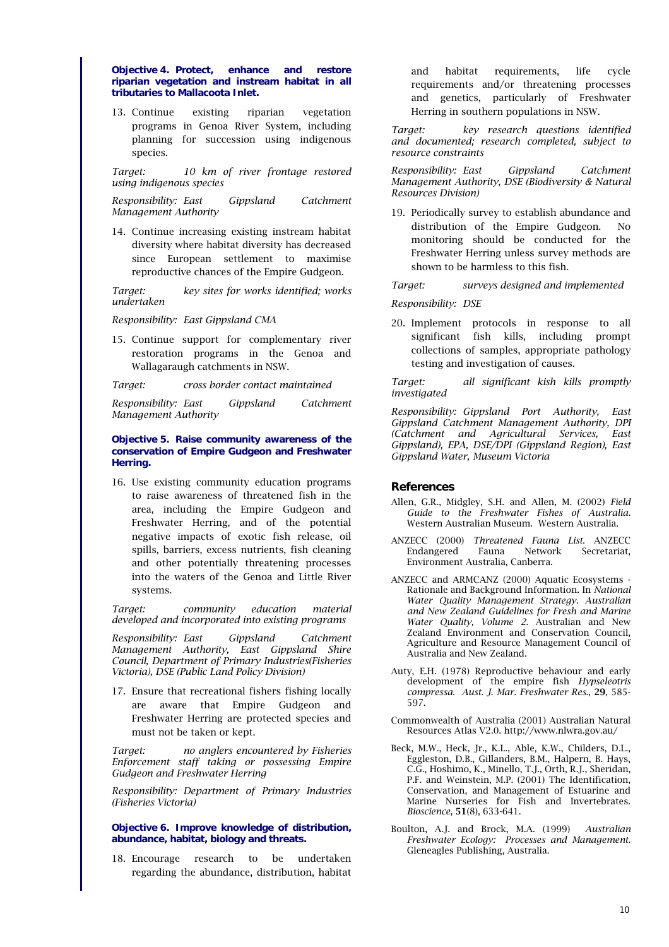#### **Objective 4. Protect, enhance and restore riparian vegetation and instream habitat in all tributaries to Mallacoota Inlet.**

13. Continue existing riparian vegetation programs in Genoa River System, including planning for succession using indigenous species.

*Target: 10 km of river frontage restored using indigenous species*

*Responsibility: East Gippsland Catchment Management Authority*

14. Continue increasing existing instream habitat diversity where habitat diversity has decreased since European settlement to maximise reproductive chances of the Empire Gudgeon.

*Target: key sites for works identified; works undertaken*

*Responsibility: East Gippsland CMA*

15. Continue support for complementary river restoration programs in the Genoa and Wallagaraugh catchments in NSW.

*Target: cross border contact maintained*

*Responsibility: East Gippsland Catchment Management Authority*

#### **Objective 5. Raise community awareness of the conservation of Empire Gudgeon and Freshwater Herring.**

16. Use existing community education programs to raise awareness of threatened fish in the area, including the Empire Gudgeon and Freshwater Herring, and of the potential negative impacts of exotic fish release, oil spills, barriers, excess nutrients, fish cleaning and other potentially threatening processes into the waters of the Genoa and Little River systems.

*Target: community education material developed and incorporated into existing programs*

*Responsibility: East Gippsland Catchment Management Authority, East Gippsland Shire Council, Department of Primary Industries(Fisheries Victoria), DSE (Public Land Policy Division)*

17. Ensure that recreational fishers fishing locally are aware that Empire Gudgeon and Freshwater Herring are protected species and must not be taken or kept.

*Target: no anglers encountered by Fisheries Enforcement staff taking or possessing Empire Gudgeon and Freshwater Herring*

*Responsibility: Department of Primary Industries (Fisheries Victoria)*

#### **Objective 6. Improve knowledge of distribution, abundance, habitat, biology and threats.**

18. Encourage research to be undertaken regarding the abundance, distribution, habitat and habitat requirements, life cycle requirements and/or threatening processes and genetics, particularly of Freshwater Herring in southern populations in NSW.

*Target: key research questions identified and documented; research completed, subject to resource constraints*

*Responsibility: East Gippsland Catchment Management Authority, DSE (Biodiversity & Natural Resources Division)*

19. Periodically survey to establish abundance and distribution of the Empire Gudgeon. No monitoring should be conducted for the Freshwater Herring unless survey methods are shown to be harmless to this fish.

*Target: surveys designed and implemented*

### *Responsibility: DSE*

20. Implement protocols in response to all significant fish kills, including prompt collections of samples, appropriate pathology testing and investigation of causes.

*Target: all significant kish kills promptly investigated*

*Responsibility: Gippsland Port Authority, East Gippsland Catchment Management Authority, DPI (Catchment and Agricultural Services, East Gippsland), EPA, DSE/DPI (Gippsland Region), East Gippsland Water, Museum Victoria*

# **References**

- Allen, G.R., Midgley, S.H. and Allen, M. (2002) *Field Guide to the Freshwater Fishes of Australia*. Western Australian Museum. Western Australia.
- ANZECC (2000) *Threatened Fauna List.* ANZECC Endangered Fauna Network Secretariat, Environment Australia, Canberra.
- ANZECC and ARMCANZ (2000) Aquatic Ecosystems Rationale and Background Information. In *National Water Quality Management Strategy. Australian and New Zealand Guidelines for Fresh and Marine Water Quality, Volume 2*. Australian and New Zealand Environment and Conservation Council, Agriculture and Resource Management Council of Australia and New Zealand.
- Auty, E.H. (1978) Reproductive behaviour and early development of the empire fish *Hypseleotris compressa*. *Aust. J. Mar. Freshwater Res*., 29, 585- 597.
- Commonwealth of Australia (2001) Australian Natural Resources Atlas V2.0. http://www.nlwra.gov.au/
- Beck, M.W., Heck, Jr., K.L., Able, K.W., Childers, D.L., Eggleston, D.B., Gillanders, B.M., Halpern, B. Hays, C.G., Hoshimo, K., Minello, T.J., Orth, R.J., Sheridan, P.F. and Weinstein, M.P. (2001) The Identification, Conservation, and Management of Estuarine and Marine Nurseries for Fish and Invertebrates. *Bioscience*, 51(8), 633-641.
- Boulton, A.J. and Brock, M.A. (1999) *Australian Freshwater Ecology: Processes and Management*. Gleneagles Publishing, Australia.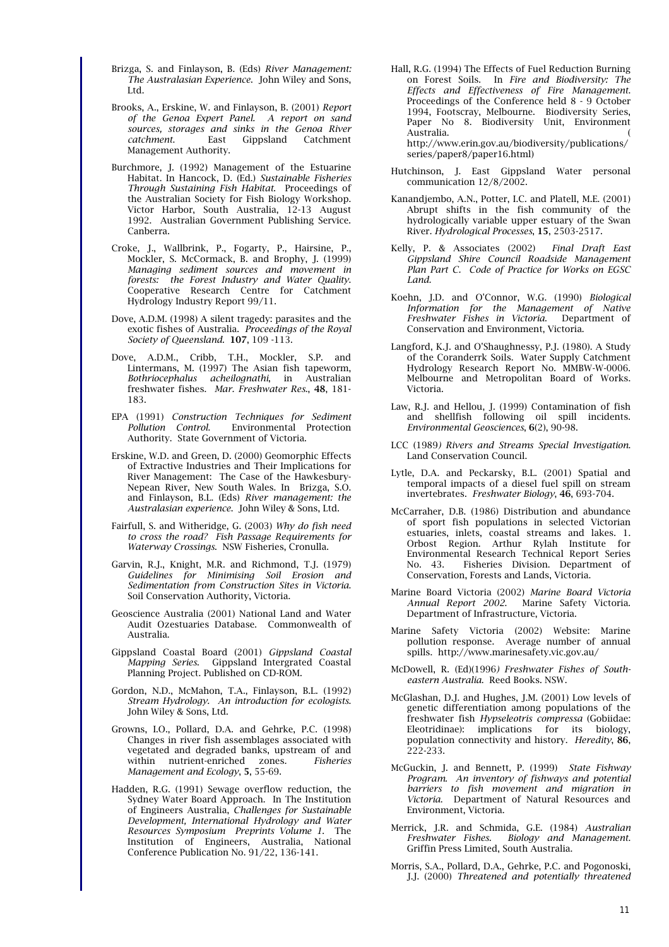- Brizga, S. and Finlayson, B. (Eds) *River Management: The Australasian Experience*. John Wiley and Sons, Ltd.
- Brooks, A., Erskine, W. and Finlayson, B. (2001) *Report of the Genoa Expert Panel. A report on sand sources, storages and sinks in the Genoa River catchment*. East Gippsland Catchment Management Authority.
- Burchmore, J. (1992) Management of the Estuarine Habitat. In Hancock, D. (Ed.) *Sustainable Fisheries Through Sustaining Fish Habitat*. Proceedings of the Australian Society for Fish Biology Workshop. Victor Harbor, South Australia, 12-13 August 1992. Australian Government Publishing Service. Canberra.
- Croke, J., Wallbrink, P., Fogarty, P., Hairsine, P., Mockler, S. McCormack, B. and Brophy, J. (1999) *Managing sediment sources and movement in forests: the Forest Industry and Water Quality*. Cooperative Research Centre for Catchment Hydrology Industry Report 99/11.
- Dove, A.D.M. (1998) A silent tragedy: parasites and the exotic fishes of Australia. *Proceedings of the Royal Society of Queensland*. 107, 109 -113.
- Dove, A.D.M., Cribb, T.H., Mockler, S.P. and Lintermans, M. (1997) The Asian fish tapeworm, *Bothriocephalus acheilognathi*, in Australian freshwater fishes. *Mar. Freshwater Res*., 48, 181- 183.
- EPA (1991) *Construction Techniques for Sediment Pollution Control*. Environmental Protection Authority. State Government of Victoria.
- Erskine, W.D. and Green, D. (2000) Geomorphic Effects of Extractive Industries and Their Implications for River Management: The Case of the Hawkesbury-Nepean River, New South Wales. In Brizga, S.O. and Finlayson, B.L. (Eds) *River management: the Australasian experience*. John Wiley & Sons, Ltd.
- Fairfull, S. and Witheridge, G. (2003) *Why do fish need to cross the road? Fish Passage Requirements for Waterway Crossings*. NSW Fisheries, Cronulla.
- Garvin, R.J., Knight, M.R. and Richmond, T.J. (1979) *Guidelines for Minimising Soil Erosion and Sedimentation from Construction Sites in Victoria*. Soil Conservation Authority, Victoria.
- Geoscience Australia (2001) National Land and Water Audit Ozestuaries Database. Commonwealth of Australia.
- Gippsland Coastal Board (2001) *Gippsland Coastal Mapping Series*. Gippsland Intergrated Coastal Planning Project. Published on CD-ROM.
- Gordon, N.D., McMahon, T.A., Finlayson, B.L. (1992) *Stream Hydrology. An introduction for ecologists*. John Wiley & Sons, Ltd.
- Growns, I.O., Pollard, D.A. and Gehrke, P.C. (1998) Changes in river fish assemblages associated with vegetated and degraded banks, upstream of and within nutrient-enriched zones*. Fisheries Management and Ecology*, 5, 55-69.
- Hadden, R.G. (1991) Sewage overflow reduction, the Sydney Water Board Approach. In The Institution of Engineers Australia, *Challenges for Sustainable Development, International Hydrology and Water Resources Symposium Preprints Volume 1*. The Institution of Engineers, Australia, National Conference Publication No. 91/22, 136-141.
- Hall, R.G. (1994) The Effects of Fuel Reduction Burning on Forest Soils. In *Fire and Biodiversity: The Effects and Effectiveness of Fire Management*. Proceedings of the Conference held 8 - 9 October 1994, Footscray, Melbourne. Biodiversity Series, Paper No 8. Biodiversity Unit, Environment Australia. ( http://www.erin.gov.au/biodiversity/publications/
	- series/paper8/paper16.html)
- Hutchinson, J. East Gippsland Water personal communication 12/8/2002.
- Kanandjembo, A.N., Potter, I.C. and Platell, M.E. (2001) Abrupt shifts in the fish community of the hydrologically variable upper estuary of the Swan River*. Hydrological Processes*, 15, 2503-2517.
- Kelly, P. & Associates (2002) *Final Draft East Gippsland Shire Council Roadside Management Plan Part C. Code of Practice for Works on EGSC Land.*
- Koehn, J.D. and O'Connor, W.G. (1990) *Biological Information for the Management of Native Freshwater Fishes in Victoria*. Department of Conservation and Environment, Victoria.
- Langford, K.J. and O'Shaughnessy, P.J. (1980). A Study of the Coranderrk Soils. Water Supply Catchment Hydrology Research Report No. MMBW-W-0006. Melbourne and Metropolitan Board of Works. Victoria.
- Law, R.J. and Hellou, J. (1999) Contamination of fish and shellfish following oil spill incidents. *Environmental Geosciences*, 6(2), 90-98.
- LCC (1989*) Rivers and Streams Special Investigation*. Land Conservation Council.
- Lytle, D.A. and Peckarsky, B.L. (2001) Spatial and temporal impacts of a diesel fuel spill on stream invertebrates. *Freshwater Biology*, 46, 693-704.
- McCarraher, D.B. (1986) Distribution and abundance of sport fish populations in selected Victorian estuaries, inlets, coastal streams and lakes. 1. Orbost Region. Arthur Rylah Institute for Environmental Research Technical Report Series No. 43. Fisheries Division. Department of Conservation, Forests and Lands, Victoria.
- Marine Board Victoria (2002) *Marine Board Victoria Annual Report 2002*. Marine Safety Victoria. Department of Infrastructure, Victoria.
- Marine Safety Victoria (2002) Website: Marine pollution response. Average number of annual spills. http://www.marinesafety.vic.gov.au/
- McDowell, R. (Ed)(1996*) Freshwater Fishes of Southeastern Australia*. Reed Books. NSW.
- McGlashan, D.J. and Hughes, J.M. (2001) Low levels of genetic differentiation among populations of the freshwater fish *Hypseleotris compressa* (Gobiidae: Eleotridinae): implications for its biology, population connectivity and history. *Heredity*, 86, 222-233.
- McGuckin, J. and Bennett, P. (1999) *State Fishway Program. An inventory of fishways and potential barriers to fish movement and migration in Victoria*. Department of Natural Resources and Environment, Victoria.
- Merrick, J.R. and Schmida, G.E. (1984) *Australian Freshwater Fishes. Biology and Management*. Griffin Press Limited, South Australia.
- Morris, S.A., Pollard, D.A., Gehrke, P.C. and Pogonoski, J.J. (2000) *Threatened and potentially threatened*